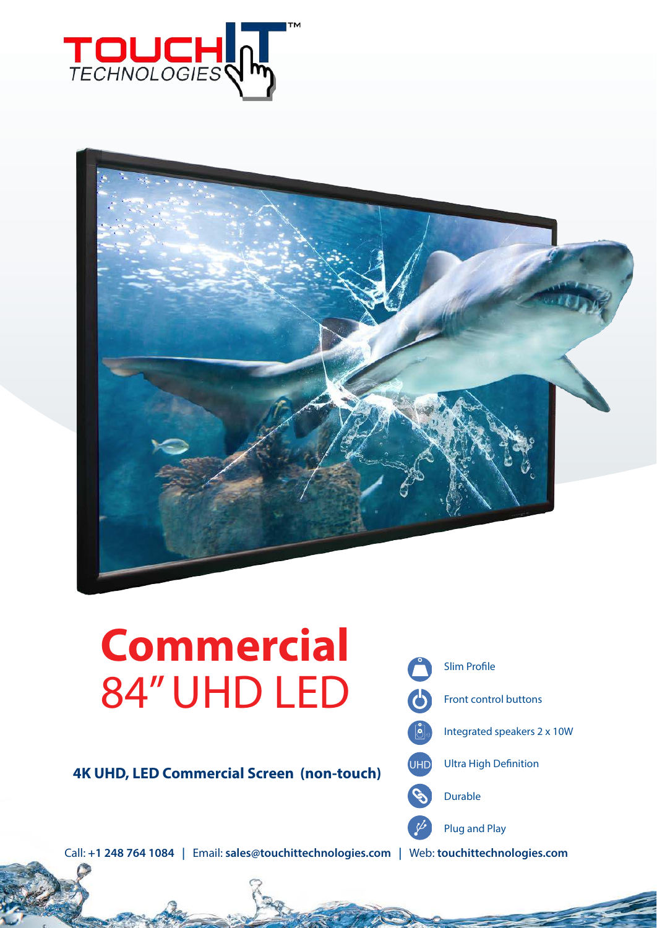



# **Commercial** 84" UHD LED

**4K UHD, LED Commercial Screen (non-touch)**



Call: **+1 248 764 1084 |** Email: **sales@touchittechnologies.com |** Web: **touchittechnologies.com**